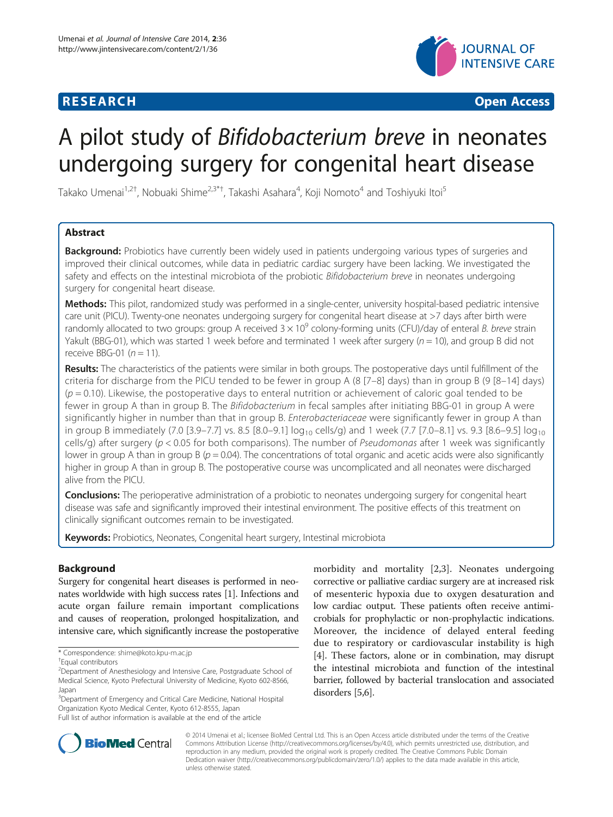# **RESEARCH CHINESE ARCH CHINESE ARCH CHINESE ARCH <b>CHINESE ARCH**



# A pilot study of Bifidobacterium breve in neonates undergoing surgery for congenital heart disease

Takako Umenai<sup>1,2†</sup>, Nobuaki Shime<sup>2,3\*†</sup>, Takashi Asahara<sup>4</sup>, Koji Nomoto<sup>4</sup> and Toshiyuki Itoi<sup>5</sup>

# Abstract

**Background:** Probiotics have currently been widely used in patients undergoing various types of surgeries and improved their clinical outcomes, while data in pediatric cardiac surgery have been lacking. We investigated the safety and effects on the intestinal microbiota of the probiotic Bifidobacterium breve in neonates undergoing surgery for congenital heart disease.

Methods: This pilot, randomized study was performed in a single-center, university hospital-based pediatric intensive care unit (PICU). Twenty-one neonates undergoing surgery for congenital heart disease at >7 days after birth were randomly allocated to two groups: group A received  $3 \times 10^9$  colony-forming units (CFU)/day of enteral B. breve strain Yakult (BBG-01), which was started 1 week before and terminated 1 week after surgery ( $n = 10$ ), and group B did not receive BBG-01 ( $n = 11$ ).

Results: The characteristics of the patients were similar in both groups. The postoperative days until fulfillment of the criteria for discharge from the PICU tended to be fewer in group A (8 [7–8] days) than in group B (9 [8–14] days)  $(p = 0.10)$ . Likewise, the postoperative days to enteral nutrition or achievement of caloric goal tended to be fewer in group A than in group B. The Bifidobacterium in fecal samples after initiating BBG-01 in group A were significantly higher in number than that in group B. *Enterobacteriaceae* were significantly fewer in group A than in group B immediately (7.0 [3.9–7.7] vs. 8.5 [8.0–9.1]  $log_{10}$  cells/g) and 1 week (7.7 [7.0–8.1] vs. 9.3 [8.6–9.5]  $log_{10}$ cells/g) after surgery ( $p < 0.05$  for both comparisons). The number of *Pseudomonas* after 1 week was significantly lower in group A than in group B ( $p = 0.04$ ). The concentrations of total organic and acetic acids were also significantly higher in group A than in group B. The postoperative course was uncomplicated and all neonates were discharged alive from the PICU.

**Conclusions:** The perioperative administration of a probiotic to neonates undergoing surgery for congenital heart disease was safe and significantly improved their intestinal environment. The positive effects of this treatment on clinically significant outcomes remain to be investigated.

Keywords: Probiotics, Neonates, Congenital heart surgery, Intestinal microbiota

# Background

Surgery for congenital heart diseases is performed in neonates worldwide with high success rates [\[1\]](#page-6-0). Infections and acute organ failure remain important complications and causes of reoperation, prolonged hospitalization, and intensive care, which significantly increase the postoperative

<sup>3</sup>Department of Emergency and Critical Care Medicine, National Hospital Organization Kyoto Medical Center, Kyoto 612-8555, Japan Full list of author information is available at the end of the article



© 2014 Umenai et al.; licensee BioMed Central Ltd. This is an Open Access article distributed under the terms of the Creative Commons Attribution License [\(http://creativecommons.org/licenses/by/4.0\)](http://creativecommons.org/licenses/by/4.0), which permits unrestricted use, distribution, and reproduction in any medium, provided the original work is properly credited. The Creative Commons Public Domain Dedication waiver [\(http://creativecommons.org/publicdomain/zero/1.0/](http://creativecommons.org/publicdomain/zero/1.0/)) applies to the data made available in this article, unless otherwise stated.

<sup>\*</sup> Correspondence: [shime@koto.kpu-m.ac.jp](mailto:shime@koto.kpu-m.ac.jp) †

Equal contributors

<sup>&</sup>lt;sup>2</sup>Department of Anesthesiology and Intensive Care, Postgraduate School of Medical Science, Kyoto Prefectural University of Medicine, Kyoto 602-8566, Japan

morbidity and mortality [[2,3\]](#page-6-0). Neonates undergoing corrective or palliative cardiac surgery are at increased risk of mesenteric hypoxia due to oxygen desaturation and low cardiac output. These patients often receive antimicrobials for prophylactic or non-prophylactic indications. Moreover, the incidence of delayed enteral feeding due to respiratory or cardiovascular instability is high [[4\]](#page-6-0). These factors, alone or in combination, may disrupt the intestinal microbiota and function of the intestinal barrier, followed by bacterial translocation and associated disorders [\[5,6\]](#page-6-0).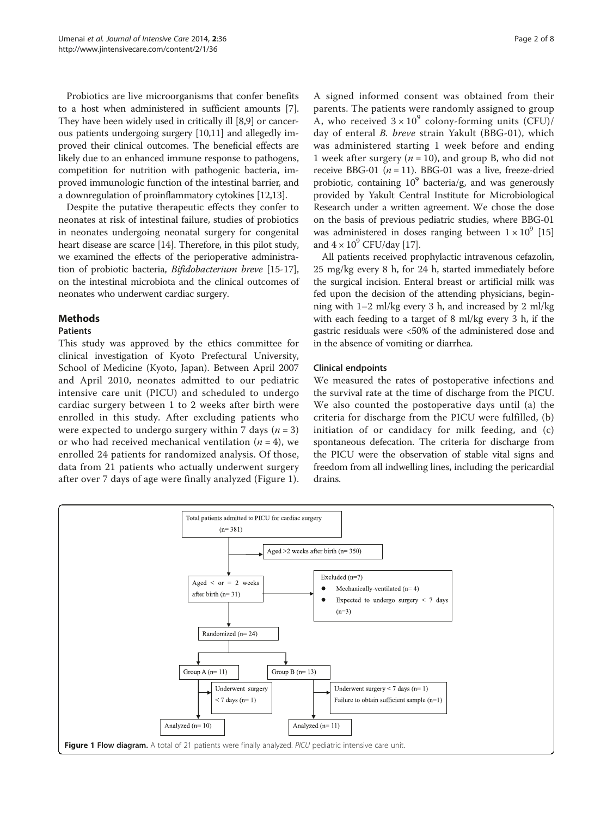Probiotics are live microorganisms that confer benefits to a host when administered in sufficient amounts [[7](#page-6-0)]. They have been widely used in critically ill [\[8,9\]](#page-6-0) or cancerous patients undergoing surgery [\[10,11](#page-6-0)] and allegedly improved their clinical outcomes. The beneficial effects are likely due to an enhanced immune response to pathogens, competition for nutrition with pathogenic bacteria, improved immunologic function of the intestinal barrier, and a downregulation of proinflammatory cytokines [[12,13\]](#page-6-0).

Despite the putative therapeutic effects they confer to neonates at risk of intestinal failure, studies of probiotics in neonates undergoing neonatal surgery for congenital heart disease are scarce [\[14\]](#page-6-0). Therefore, in this pilot study, we examined the effects of the perioperative administration of probiotic bacteria, Bifidobacterium breve [[15](#page-6-0)-[17](#page-7-0)], on the intestinal microbiota and the clinical outcomes of neonates who underwent cardiac surgery.

# Methods

# Patients

This study was approved by the ethics committee for clinical investigation of Kyoto Prefectural University, School of Medicine (Kyoto, Japan). Between April 2007 and April 2010, neonates admitted to our pediatric intensive care unit (PICU) and scheduled to undergo cardiac surgery between 1 to 2 weeks after birth were enrolled in this study. After excluding patients who were expected to undergo surgery within 7 days  $(n = 3)$ or who had received mechanical ventilation  $(n = 4)$ , we enrolled 24 patients for randomized analysis. Of those, data from 21 patients who actually underwent surgery after over 7 days of age were finally analyzed (Figure 1).

A signed informed consent was obtained from their parents. The patients were randomly assigned to group A, who received  $3 \times 10^9$  colony-forming units (CFU)/ day of enteral B. breve strain Yakult (BBG-01), which was administered starting 1 week before and ending 1 week after surgery ( $n = 10$ ), and group B, who did not receive BBG-01 ( $n = 11$ ). BBG-01 was a live, freeze-dried probiotic, containing  $10^9$  bacteria/g, and was generously provided by Yakult Central Institute for Microbiological Research under a written agreement. We chose the dose on the basis of previous pediatric studies, where BBG-01 was administered in doses ranging between  $1 \times 10^9$  [[15](#page-6-0)] and  $4 \times 10^9$  CFU/day [\[17\]](#page-7-0).

All patients received prophylactic intravenous cefazolin, 25 mg/kg every 8 h, for 24 h, started immediately before the surgical incision. Enteral breast or artificial milk was fed upon the decision of the attending physicians, beginning with 1–2 ml/kg every 3 h, and increased by 2 ml/kg with each feeding to a target of 8 ml/kg every 3 h, if the gastric residuals were <50% of the administered dose and in the absence of vomiting or diarrhea.

# Clinical endpoints

We measured the rates of postoperative infections and the survival rate at the time of discharge from the PICU. We also counted the postoperative days until (a) the criteria for discharge from the PICU were fulfilled, (b) initiation of or candidacy for milk feeding, and (c) spontaneous defecation. The criteria for discharge from the PICU were the observation of stable vital signs and freedom from all indwelling lines, including the pericardial drains.

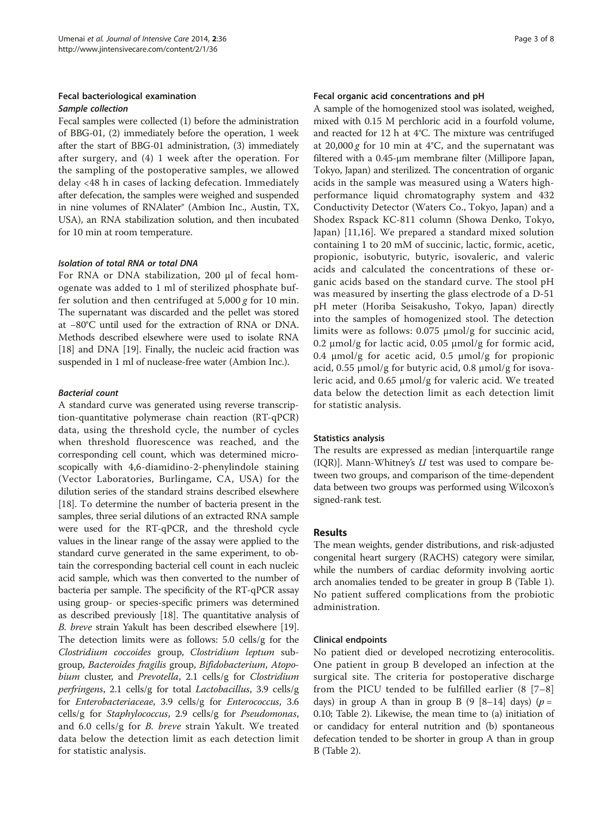# Fecal bacteriological examination Sample collection

Fecal samples were collected (1) before the administration of BBG-01, (2) immediately before the operation, 1 week after the start of BBG-01 administration, (3) immediately after surgery, and (4) 1 week after the operation. For the sampling of the postoperative samples, we allowed delay <48 h in cases of lacking defecation. Immediately after defecation, the samples were weighed and suspended in nine volumes of RNAlater® (Ambion Inc., Austin, TX, USA), an RNA stabilization solution, and then incubated for 10 min at room temperature.

# Isolation of total RNA or total DNA

For RNA or DNA stabilization, 200 μl of fecal homogenate was added to 1 ml of sterilized phosphate buffer solution and then centrifuged at  $5,000 g$  for 10 min. The supernatant was discarded and the pellet was stored at −80°C until used for the extraction of RNA or DNA. Methods described elsewhere were used to isolate RNA [[18](#page-7-0)] and DNA [[19](#page-7-0)]. Finally, the nucleic acid fraction was suspended in 1 ml of nuclease-free water (Ambion Inc.).

# Bacterial count

A standard curve was generated using reverse transcription-quantitative polymerase chain reaction (RT-qPCR) data, using the threshold cycle, the number of cycles when threshold fluorescence was reached, and the corresponding cell count, which was determined microscopically with 4,6-diamidino-2-phenylindole staining (Vector Laboratories, Burlingame, CA, USA) for the dilution series of the standard strains described elsewhere [[18](#page-7-0)]. To determine the number of bacteria present in the samples, three serial dilutions of an extracted RNA sample were used for the RT-qPCR, and the threshold cycle values in the linear range of the assay were applied to the standard curve generated in the same experiment, to obtain the corresponding bacterial cell count in each nucleic acid sample, which was then converted to the number of bacteria per sample. The specificity of the RT-qPCR assay using group- or species-specific primers was determined as described previously [\[18](#page-7-0)]. The quantitative analysis of B. breve strain Yakult has been described elsewhere [[19](#page-7-0)]. The detection limits were as follows: 5.0 cells/g for the Clostridium coccoides group, Clostridium leptum subgroup, Bacteroides fragilis group, Bifidobacterium, Atopobium cluster, and Prevotella, 2.1 cells/g for Clostridium perfringens, 2.1 cells/g for total Lactobacillus, 3.9 cells/g for Enterobacteriaceae, 3.9 cells/g for Enterococcus, 3.6 cells/g for Staphylococcus, 2.9 cells/g for Pseudomonas, and 6.0 cells/g for B. breve strain Yakult. We treated data below the detection limit as each detection limit for statistic analysis.

# Fecal organic acid concentrations and pH

A sample of the homogenized stool was isolated, weighed, mixed with 0.15 M perchloric acid in a fourfold volume, and reacted for 12 h at 4°C. The mixture was centrifuged at  $20,000 g$  for 10 min at 4°C, and the supernatant was filtered with a 0.45-μm membrane filter (Millipore Japan, Tokyo, Japan) and sterilized. The concentration of organic acids in the sample was measured using a Waters highperformance liquid chromatography system and 432 Conductivity Detector (Waters Co., Tokyo, Japan) and a Shodex Rspack KC-811 column (Showa Denko, Tokyo, Japan) [[11,16\]](#page-6-0). We prepared a standard mixed solution containing 1 to 20 mM of succinic, lactic, formic, acetic, propionic, isobutyric, butyric, isovaleric, and valeric acids and calculated the concentrations of these organic acids based on the standard curve. The stool pH was measured by inserting the glass electrode of a D-51 pH meter (Horiba Seisakusho, Tokyo, Japan) directly into the samples of homogenized stool. The detection limits were as follows: 0.075 μmol/g for succinic acid, 0.2 μmol/g for lactic acid, 0.05 μmol/g for formic acid, 0.4  $\mu$ mol/g for acetic acid, 0.5  $\mu$ mol/g for propionic acid, 0.55 μmol/g for butyric acid, 0.8 μmol/g for isovaleric acid, and 0.65 μmol/g for valeric acid. We treated data below the detection limit as each detection limit for statistic analysis.

# Statistics analysis

The results are expressed as median [interquartile range (IQR)]. Mann-Whitney's  $U$  test was used to compare between two groups, and comparison of the time-dependent data between two groups was performed using Wilcoxon's signed-rank test.

# Results

The mean weights, gender distributions, and risk-adjusted congenital heart surgery (RACHS) category were similar, while the numbers of cardiac deformity involving aortic arch anomalies tended to be greater in group B (Table [1](#page-3-0)). No patient suffered complications from the probiotic administration.

# Clinical endpoints

No patient died or developed necrotizing enterocolitis. One patient in group B developed an infection at the surgical site. The criteria for postoperative discharge from the PICU tended to be fulfilled earlier (8 [7–8] days) in group A than in group B (9  $[8-14]$  days) ( $p =$ 0.10; Table [2](#page-3-0)). Likewise, the mean time to (a) initiation of or candidacy for enteral nutrition and (b) spontaneous defecation tended to be shorter in group A than in group B (Table [2](#page-3-0)).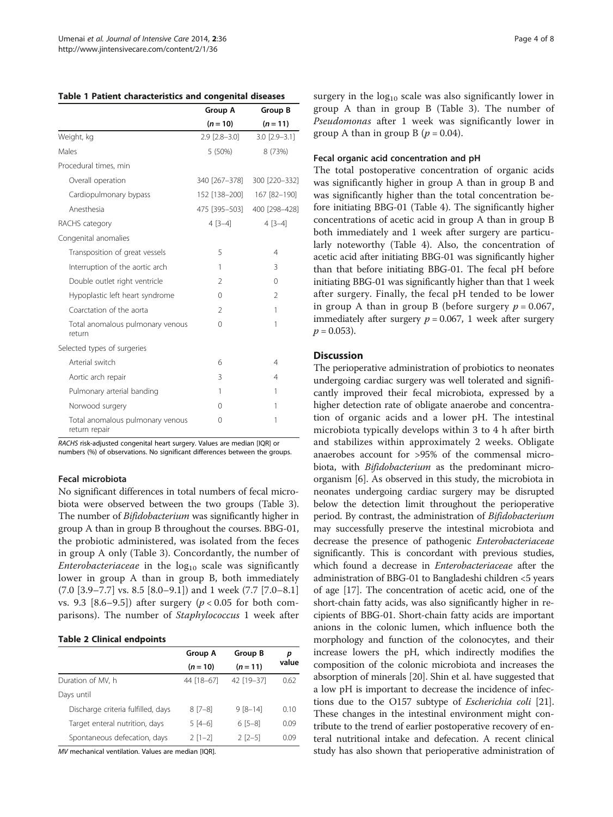<span id="page-3-0"></span>

|  |  | Table 1 Patient characteristics and congenital diseases |  |  |  |
|--|--|---------------------------------------------------------|--|--|--|
|--|--|---------------------------------------------------------|--|--|--|

|                                                   | Group A             | Group B             |
|---------------------------------------------------|---------------------|---------------------|
|                                                   | $(n = 10)$          | $(n = 11)$          |
| Weight, kg                                        | $2.9$ $[2.8 - 3.0]$ | $3.0$ $[2.9 - 3.1]$ |
| Males                                             | 5 (50%)             | 8 (73%)             |
| Procedural times, min                             |                     |                     |
| Overall operation                                 | 340 [267-378]       | 300 [220-332]       |
| Cardiopulmonary bypass                            | 152 [138-200]       | 167 [82-190]        |
| Anesthesia                                        | 475 [395-503]       | 400 [298-428]       |
| RACHS category                                    | $4 [3 - 4]$         | $4 [3 - 4]$         |
| Congenital anomalies                              |                     |                     |
| Transposition of great vessels                    | 5                   | $\overline{4}$      |
| Interruption of the aortic arch                   | 1                   | 3                   |
| Double outlet right ventricle                     | 2                   | $\Omega$            |
| Hypoplastic left heart syndrome                   | $\Omega$            | $\mathfrak{D}$      |
| Coarctation of the aorta                          | $\mathfrak{D}$      | 1                   |
| Total anomalous pulmonary venous<br>return        | $\Omega$            | 1                   |
| Selected types of surgeries                       |                     |                     |
| Arterial switch                                   | 6                   | 4                   |
| Aortic arch repair                                | 3                   | $\overline{4}$      |
| Pulmonary arterial banding                        | 1                   | 1                   |
| Norwood surgery                                   | $\Omega$            | 1                   |
| Total anomalous pulmonary venous<br>return repair | 0                   | 1                   |

RACHS risk-adjusted congenital heart surgery. Values are median [IQR] or numbers (%) of observations. No significant differences between the groups.

# Fecal microbiota

No significant differences in total numbers of fecal microbiota were observed between the two groups (Table [3](#page-4-0)). The number of *Bifidobacterium* was significantly higher in group A than in group B throughout the courses. BBG-01, the probiotic administered, was isolated from the feces in group A only (Table [3](#page-4-0)). Concordantly, the number of Enterobacteriaceae in the  $log_{10}$  scale was significantly lower in group A than in group B, both immediately (7.0 [3.9–7.7] vs. 8.5 [8.0–9.1]) and 1 week (7.7 [7.0–8.1] vs. 9.3 [8.6–9.5]) after surgery ( $p < 0.05$  for both comparisons). The number of Staphylococcus 1 week after

#### Table 2 Clinical endpoints

|                                    | Group A     | Group B      | р<br>value |  |
|------------------------------------|-------------|--------------|------------|--|
|                                    | $(n = 10)$  | $(n = 11)$   |            |  |
| Duration of MV, h                  | 44 [18-67]  | 42 [19-37]   | 0.62       |  |
| Days until                         |             |              |            |  |
| Discharge criteria fulfilled, days | $8$ [7–8]   | $9 [8 - 14]$ | 0.10       |  |
| Target enteral nutrition, days     | $5[4-6]$    | $6 [5 - 8]$  | 0.09       |  |
| Spontaneous defecation, days       | $2$ $[1-2]$ | $2$ [2-5]    | 0.09       |  |

MV mechanical ventilation. Values are median [IQR].

surgery in the  $log_{10}$  scale was also significantly lower in group A than in group B (Table [3](#page-4-0)). The number of Pseudomonas after 1 week was significantly lower in group A than in group B ( $p = 0.04$ ).

#### Fecal organic acid concentration and pH

The total postoperative concentration of organic acids was significantly higher in group A than in group B and was significantly higher than the total concentration before initiating BBG-01 (Table [4\)](#page-5-0). The significantly higher concentrations of acetic acid in group A than in group B both immediately and 1 week after surgery are particularly noteworthy (Table [4\)](#page-5-0). Also, the concentration of acetic acid after initiating BBG-01 was significantly higher than that before initiating BBG-01. The fecal pH before initiating BBG-01 was significantly higher than that 1 week after surgery. Finally, the fecal pH tended to be lower in group A than in group B (before surgery  $p = 0.067$ , immediately after surgery  $p = 0.067$ , 1 week after surgery  $p = 0.053$ ).

# **Discussion**

The perioperative administration of probiotics to neonates undergoing cardiac surgery was well tolerated and significantly improved their fecal microbiota, expressed by a higher detection rate of obligate anaerobe and concentration of organic acids and a lower pH. The intestinal microbiota typically develops within 3 to 4 h after birth and stabilizes within approximately 2 weeks. Obligate anaerobes account for >95% of the commensal microbiota, with Bifidobacterium as the predominant microorganism [\[6\]](#page-6-0). As observed in this study, the microbiota in neonates undergoing cardiac surgery may be disrupted below the detection limit throughout the perioperative period. By contrast, the administration of Bifidobacterium may successfully preserve the intestinal microbiota and decrease the presence of pathogenic Enterobacteriaceae significantly. This is concordant with previous studies, which found a decrease in Enterobacteriaceae after the administration of BBG-01 to Bangladeshi children <5 years of age [[17](#page-7-0)]. The concentration of acetic acid, one of the short-chain fatty acids, was also significantly higher in recipients of BBG-01. Short-chain fatty acids are important anions in the colonic lumen, which influence both the morphology and function of the colonocytes, and their increase lowers the pH, which indirectly modifies the composition of the colonic microbiota and increases the absorption of minerals [[20](#page-7-0)]. Shin et al. have suggested that a low pH is important to decrease the incidence of infections due to the O157 subtype of Escherichia coli [[21](#page-7-0)]. These changes in the intestinal environment might contribute to the trend of earlier postoperative recovery of enteral nutritional intake and defecation. A recent clinical study has also shown that perioperative administration of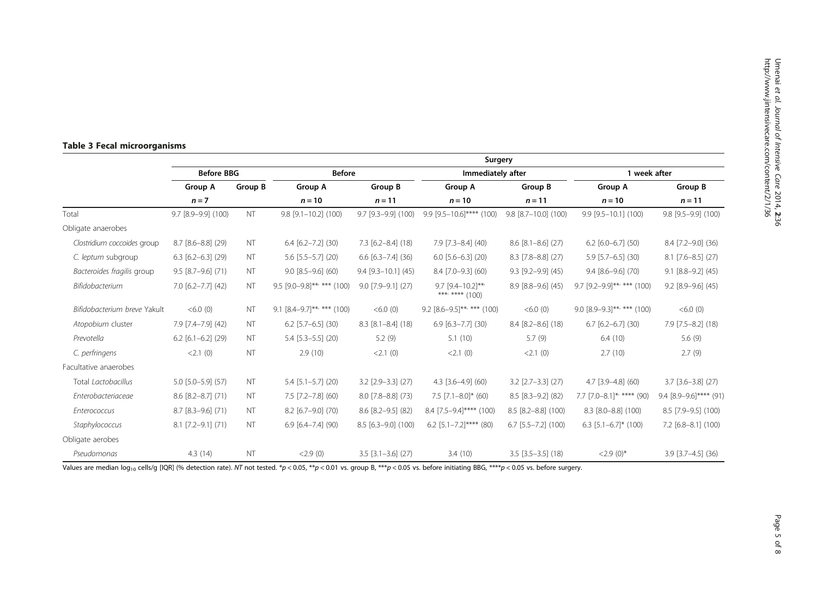# <span id="page-4-0"></span>Table 3 Fecal microorganisms

|                              | Surgery                        |           |                                           |                             |                                         |                            |                                |                            |
|------------------------------|--------------------------------|-----------|-------------------------------------------|-----------------------------|-----------------------------------------|----------------------------|--------------------------------|----------------------------|
|                              | <b>Before BBG</b>              |           | <b>Before</b>                             |                             | Immediately after                       |                            | 1 week after                   |                            |
|                              | Group A<br>Group B             |           | Group B<br><b>Group A</b>                 |                             | Group A                                 | Group B                    | <b>Group A</b>                 | Group B                    |
|                              | $n = 7$                        |           | $n = 10$                                  | $n = 11$                    | $n = 10$                                | $n = 11$                   | $n = 10$                       | $n = 11$                   |
| Total                        | 9.7 [8.9-9.9] (100)            | <b>NT</b> | 9.8 [9.1-10.2] (100)                      | 9.7 [9.3-9.9] (100)         | $9.9$ [9.5-10.6]**** (100)              | $9.8$ [8.7-10.0] (100)     | $9.9$ [ $9.5 - 10.1$ ] (100)   | 9.8 [9.5-9.9] (100)        |
| Obligate anaerobes           |                                |           |                                           |                             |                                         |                            |                                |                            |
| Clostridium coccoides group  | $8.7$ $[8.6 - 8.8]$ (29)       | <b>NT</b> | $6.4$ [6.2-7.2] (30)                      | $7.3$ [6.2-8.4] (18)        | $7.9$ $[7.3 - 8.4]$ $(40)$              | $8.6$ $[8.1 - 8.6]$ $(27)$ | $6.2$ [6.0-6.7] (50)           | 8.4 [7.2-9.0] (36)         |
| C. leptum subgroup           | $6.3$ $[6.2 - 6.3]$ $(29)$     | <b>NT</b> | $5.6$ [5.5-5.7] (20)                      | $6.6$ [6.3-7.4] (36)        | $6.0$ [5.6-6.3] (20)                    | 8.3 [7.8-8.8] (27)         | $5.9$ [5.7-6.5] (30)           | $8.1$ [7.6-8.5] (27)       |
| Bacteroides fragilis group   | $9.5$ [8.7-9.6] (71)           | <b>NT</b> | $9.0$ $[8.5 - 9.6]$ $(60)$                | $9.4$ [ $9.3 - 10.1$ ] (45) | $8.4$ [7.0-9.3] (60)                    | $9.3$ [ $9.2 - 9.9$ ] (45) | $9.4$ [8.6-9.6] (70)           | $9.1$ $[8.8 - 9.2]$ $(45)$ |
| Bifidobacterium              | $7.0$ $[6.2 - 7.7]$ $(42)$     | <b>NT</b> | $9.5$ [9.0-9.8]** <sup>**</sup> *** (100) | $9.0$ [7.9-9.1] (27)        | $9.7$ [9.4-10.2]**<br>**** **** $(100)$ | 8.9 [8.8-9.6] (45)         | $9.7$ [9.2-9.9]**' *** (100)   | $9.2$ [8.9-9.6] (45)       |
| Bifidobacterium breve Yakult | $< 6.0$ (0)                    | <b>NT</b> | $9.1$ [8.4-9.7]**, *** (100)              | $< 6.0$ (0)                 | $9.2$ [8.6-9.5]**, *** (100)            | $< 6.0$ (0)                | $9.0$ [8.9-9.3]**, *** (100)   | $<$ 6.0 (0)                |
| Atopobium cluster            | 7.9 [7.4-7.9] (42)             | NT        | $6.2$ [5.7-6.5] (30)                      | $8.3$ $[8.1 - 8.4]$ (18)    | $6.9$ [6.3-7.7] (30)                    | $8.4$ $[8.2 - 8.6]$ $(18)$ | $6.7$ [6.2-6.7] (30)           | 7.9 [7.5-8.2] (18)         |
| Prevotella                   | $6.2$ [6.1-6.2] (29)           | NT        | $5.4$ [5.3-5.5] (20)                      | 5.2(9)                      | 5.1(10)                                 | 5.7(9)                     | 6.4(10)                        | 5.6(9)                     |
| C. perfringens               | $< 2.1$ (0)                    | <b>NT</b> | 2.9(10)                                   | $< 2.1$ (0)                 | < 2.1(0)                                | $< 2.1$ (0)                | 2.7(10)                        | 2.7(9)                     |
| Facultative anaerobes        |                                |           |                                           |                             |                                         |                            |                                |                            |
| Total Lactobacillus          | $5.0$ [5.0-5.9] (57)           | NT        | $5.4$ [5.1-5.7] (20)                      | $3.2$ [2.9-3.3] (27)        | $4.3$ [3.6-4.9] (60)                    | $3.2$ $[2.7 - 3.3]$ $(27)$ | $4.7$ [3.9-4.8] (60)           | $3.7$ $[3.6 - 3.8]$ $(27)$ |
| Enterobacteriaceae           | $8.6$ $[8.2 - 8.7]$ $(71)$     | NT        | $7.5$ $[7.2 - 7.8]$ (60)                  | $8.0$ [7.8-8.8] (73)        | $7.5$ $[7.1 - 8.0]$ * (60)              | $8.5$ $[8.3 - 9.2]$ $(82)$ | $7.7$ $[7.0-8.1]$ *, **** (90) | 9.4 [8.9-9.6]**** (91)     |
| Enterococcus                 | $8.7$ [ $8.3 - 9.6$ ] ( $71$ ) | <b>NT</b> | $8.2$ [6.7-9.0] (70)                      | $8.6$ $[8.2 - 9.5]$ $(82)$  | 8.4 [7.5-9.4]**** (100)                 | 8.5 [8.2-8.8] (100)        | 8.3 [8.0-8.8] (100)            | 8.5 [7.9-9.5] (100)        |
| Staphylococcus               | $8.1$ [7.2-9.1] (71)           | <b>NT</b> | $6.9$ [6.4-7.4] (90)                      | 8.5 [6.3-9.0] (100)         | $6.2$ [5.1-7.2]**** (80)                | $6.7$ [5.5-7.2] (100)      | $6.3$ [5.1-6.7]* (100)         | $7.2$ [6.8-8.1] (100)      |
| Obligate aerobes             |                                |           |                                           |                             |                                         |                            |                                |                            |
| Pseudomonas                  | 4.3(14)                        | <b>NT</b> | <2.9(0)                                   | $3.5$ $[3.1 - 3.6]$ $(27)$  | 3.4(10)                                 | $3.5$ $[3.5 - 3.5]$ $(18)$ | $<2.9(0)*$                     | $3.9$ $[3.7 - 4.5]$ $(36)$ |

Values are median log<sub>10</sub> cells/g [IQR] (% detection rate). NT not tested. \*p < 0.05, \*\*p < 0.01 vs. group B, \*\*\*p < 0.05 vs. before initiating BBG, \*\*\*\*p < 0.05 vs. before surgery.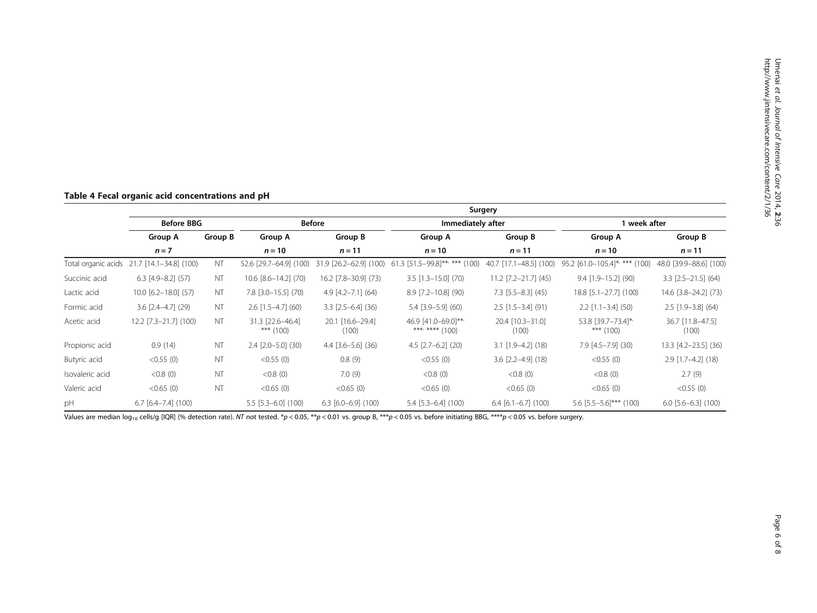# <span id="page-5-0"></span>Table 4 Fecal organic acid concentrations and pH

|                     | Surgery                     |           |                                 |                            |                                             |                            |                                   |                           |  |
|---------------------|-----------------------------|-----------|---------------------------------|----------------------------|---------------------------------------------|----------------------------|-----------------------------------|---------------------------|--|
|                     | <b>Before BBG</b>           |           | <b>Before</b>                   |                            | Immediately after                           |                            | 1 week after                      |                           |  |
|                     | Group B<br>Group A          |           | Group A                         | Group B                    | Group A                                     | Group B                    | Group A                           | Group B                   |  |
|                     | $n = 7$                     |           | $n = 10$                        | $n = 11$                   | $n = 10$                                    | $n = 11$                   | $n = 10$                          | $n = 11$                  |  |
| Total organic acids | $[14.1 - 34.8]$ (100)<br>21 | <b>NT</b> | 52.6 [29.7-64.9] (100)          | 31.9 [26.2-62.9] (100)     | $61.3$ [51.5-99.8]** <sup>*</sup> *** (100) | 40.7 [17.1-48.5] (100)     | $95.2$ [61.0-105.4]* *** (100)    | 48.0 [39.9-88.6] (100)    |  |
| Succinic acid       | $6.3$ [4.9-8.2] (57)        | <b>NT</b> | 10.6 [8.6-14.2] (70)            | 16.2 [7.8-30.9] (73)       | $3.5$ [1.3-15.0] (70)                       | $11.2$ $[7.2 - 21.7]$ (45) | $9.4$ [1.9-15.2] (90)             | $3.3$ $[2.5 - 21.5]$ (64) |  |
| Lactic acid         | $10.0$ [6.2-18.0] (57)      | <b>NT</b> | $7.8$ $[3.0 - 15.5]$ $(70)$     | $4.9$ [4.2-7.1] (64)       | $8.9$ [7.2-10.8] (90)                       | $7.3$ [5.5-8.3] (45)       | 18.8 [5.1-27.7] (100)             | 14.6 [3.8-24.2] (73)      |  |
| Formic acid         | $3.6$ $[2.4 - 4.7]$ $(29)$  | <b>NT</b> | $2.6$ [1.5-4.7] (60)            | $3.3$ $[2.5 - 6.4]$ $(36)$ | $5.4$ [3.9-5.9] (60)                        | $2.5$ [1.5-3.4] (91)       | $2.2$ [1.1-3.4] (50)              | $2.5$ [1.9-3.8] (64)      |  |
| Acetic acid         | 12.2 [7.3-21.7] (100)       | <b>NT</b> | 31.3 [22.6-46.4]<br>*** $(100)$ | 20.1 [16.6-29.4]<br>(100)  | 46.9 [41.0-69.0]**/<br>**** **** (100)      | 20.4 [10.3-31.0]<br>(100)  | 53.8 [39.7-73.4]*/<br>*** $(100)$ | 36.7 [11.8-47.5]<br>(100) |  |
| Propionic acid      | 0.9(14)                     | <b>NT</b> | $2.4$ $[2.0 - 5.0]$ $(30)$      | $4.4$ [3.6-5.6] (36)       | $4.5$ $[2.7 - 6.2]$ $(20)$                  | $3.1$ [1.9-4.2] (18)       | $7.9$ $[4.5 - 7.9]$ $(30)$        | 13.3 [4.2-23.5] (36)      |  |
| Butyric acid        | $< 0.55$ (0)                | <b>NT</b> | < 0.55(0)                       | 0.8(9)                     | < 0.55(0)                                   | $3.6$ $[2.2 - 4.9]$ $(18)$ | $< 0.55$ (0)                      | $2.9$ [1.7-4.2] (18)      |  |
| Isovaleric acid     | $< 0.8$ (0)                 | <b>NT</b> | $< 0.8$ (0)                     | 7.0(9)                     | $< 0.8$ (0)                                 | $< 0.8$ (0)                | < 0.8(0)                          | 2.7(9)                    |  |
| Valeric acid        | $< 0.65$ (0)                | <b>NT</b> | $< 0.65$ (0)                    | $< 0.65$ (0)               | $< 0.65$ (0)                                | $< 0.65$ (0)               | $< 0.65$ (0)                      | $< 0.55$ (0)              |  |
| pH                  | $6.7$ [6.4-7.4] (100)       |           | $5.5$ [5.3-6.0] (100)           | $6.3$ [6.0-6.9] (100)      | $5.4$ [5.3-6.4] (100)                       | $6.4$ [6.1-6.7] (100)      | $5.6$ [5.5-5.6]*** (100)          | $6.0$ [5.6-6.3] (100)     |  |

Values are median log<sub>10</sub> cells/g [IQR] (% detection rate). NT not tested. \*p < 0.05, \*\*p < 0.01 vs. group B, \*\*\*p < 0.05 vs. before initiating BBG, \*\*\*\*p < 0.05 vs. before surgery.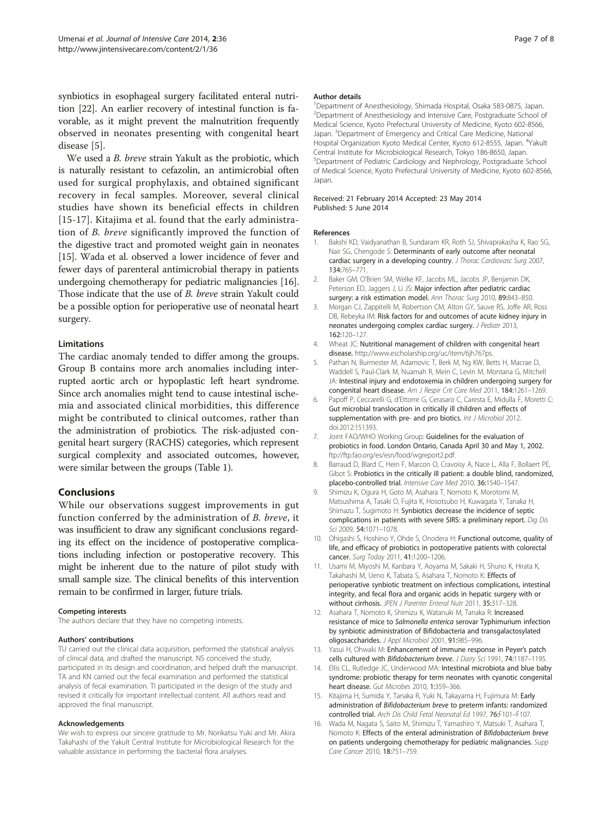<span id="page-6-0"></span>synbiotics in esophageal surgery facilitated enteral nutrition [\[22](#page-7-0)]. An earlier recovery of intestinal function is favorable, as it might prevent the malnutrition frequently observed in neonates presenting with congenital heart disease [5].

We used a *B. breve* strain Yakult as the probiotic, which is naturally resistant to cefazolin, an antimicrobial often used for surgical prophylaxis, and obtained significant recovery in fecal samples. Moreover, several clinical studies have shown its beneficial effects in children [15-[17](#page-7-0)]. Kitajima et al. found that the early administration of B. breve significantly improved the function of the digestive tract and promoted weight gain in neonates [15]. Wada et al. observed a lower incidence of fever and fewer days of parenteral antimicrobial therapy in patients undergoing chemotherapy for pediatric malignancies [16]. Those indicate that the use of B. breve strain Yakult could be a possible option for perioperative use of neonatal heart surgery.

# Limitations

The cardiac anomaly tended to differ among the groups. Group B contains more arch anomalies including interrupted aortic arch or hypoplastic left heart syndrome. Since arch anomalies might tend to cause intestinal ischemia and associated clinical morbidities, this difference might be contributed to clinical outcomes, rather than the administration of probiotics. The risk-adjusted congenital heart surgery (RACHS) categories, which represent surgical complexity and associated outcomes, however, were similar between the groups (Table [1](#page-3-0)).

# Conclusions

While our observations suggest improvements in gut function conferred by the administration of B. breve, it was insufficient to draw any significant conclusions regarding its effect on the incidence of postoperative complications including infection or postoperative recovery. This might be inherent due to the nature of pilot study with small sample size. The clinical benefits of this intervention remain to be confirmed in larger, future trials.

#### Competing interests

The authors declare that they have no competing interests.

#### Authors' contributions

TU carried out the clinical data acquisition, performed the statistical analysis of clinical data, and drafted the manuscript. NS conceived the study, participated in its design and coordination, and helped draft the manuscript. TA and KN carried out the fecal examination and performed the statistical analysis of fecal examination. TI participated in the design of the study and revised it critically for important intellectual content. All authors read and approved the final manuscript.

#### Acknowledgements

We wish to express our sincere gratitude to Mr. Norikatsu Yuki and Mr. Akira Takahashi of the Yakult Central Institute for Microbiological Research for the valuable assistance in performing the bacterial flora analyses.

#### Author details

1 Department of Anesthesiology, Shimada Hospital, Osaka 583-0875, Japan. <sup>2</sup>Department of Anesthesiology and Intensive Care, Postgraduate School of Medical Science, Kyoto Prefectural University of Medicine, Kyoto 602-8566, Japan. <sup>3</sup> Department of Emergency and Critical Care Medicine, National Hospital Organization Kyoto Medical Center, Kyoto 612-8555, Japan. <sup>4</sup>Yakult Central Institute for Microbiological Research, Tokyo 186-8650, Japan. 5 Department of Pediatric Cardiology and Nephrology, Postgraduate School of Medical Science, Kyoto Prefectural University of Medicine, Kyoto 602-8566, Japan.

#### Received: 21 February 2014 Accepted: 23 May 2014 Published: 5 June 2014

#### References

- 1. Bakshi KD, Vaidyanathan B, Sundaram KR, Roth SJ, Shivaprakasha K, Rao SG, Nair SG, Chengode S: Determinants of early outcome after neonatal cardiac surgery in a developing country. J Thorac Cardiovasc Surg 2007, 134:765–771.
- 2. Baker GM, O'Brien SM, Welke KF, Jacobs ML, Jacobs JP, Benjamin DK, Peterson ED, Jaggers J, Li JS: Major infection after pediatric cardiac surgery: a risk estimation model. Ann Thorac Surg 2010, 89:843–850.
- 3. Morgan CJ, Zappitelli M, Robertson CM, Alton GY, Sauve RS, Joffe AR, Ross DB, Rebeyka IM: Risk factors for and outcomes of acute kidney injury in neonates undergoing complex cardiac surgery. J Pediatr 2013, 162:120–127.
- 4. Wheat JC: Nutritional management of children with congenital heart disease. <http://www.escholarship.org/uc/item/6jh767ps>.
- 5. Pathan N, Burmester M, Adamovic T, Berk M, Ng KW, Betts H, Macrae D, Waddell S, Paul-Clark M, Nuamah R, Mein C, Levin M, Montana G, Mitchell JA: Intestinal injury and endotoxemia in children undergoing surgery for congenital heart disease. Am J Respir Crit Care Med 2011, 184:1261–1269.
- 6. Papoff P, Ceccarelli G, d'Ettorre G, Cerasaro C, Caresta E, Midulla F, Moretti C: Gut microbial translocation in critically ill children and effects of supplementation with pre- and pro biotics. Int J Microbiol 2012. doi.2012:151393.
- 7. Joint FAO/WHO Working Group: Guidelines for the evaluation of probiotics in food. London Ontario, Canada April 30 and May 1, 2002. [ftp://ftp.fao.org/es/esn/food/wgreport2.pdf.](ftp://ftp.fao.org/es/esn/food/wgreport2.pdf)
- 8. Barraud D, Blard C, Hein F, Marcon O, Cravoisy A, Nace L, Alla F, Bollaert PE, Gibot S: Probiotics in the critically ill patient: a double blind, randomized, placebo-controlled trial. Intensive Care Med 2010, 36:1540–1547.
- 9. Shimizu K, Ogura H, Goto M, Asahara T, Nomoto K, Morotomi M, Matsushima A, Tasaki O, Fujita K, Hosotsubo H, Kuwagata Y, Tanaka H, Shimazu T, Sugimoto H: Synbiotics decrease the incidence of septic complications in patients with severe SIRS: a preliminary report. Dig Dis Sci 2009, 54:1071–1078.
- 10. Ohigashi S, Hoshino Y, Ohde S, Onodera H: Functional outcome, quality of life, and efficacy of probiotics in postoperative patients with colorectal cancer. Surg Today 2011, 41:1200–1206.
- 11. Usami M, Miyoshi M, Kanbara Y, Aoyama M, Sakaki H, Shuno K, Hirata K, Takahashi M, Ueno K, Tabata S, Asahara T, Nomoto K: Effects of perioperative synbiotic treatment on infectious complications, intestinal integrity, and fecal flora and organic acids in hepatic surgery with or without cirrhosis. JPEN J Parenter Enteral Nutr 2011, 35:317–328.
- 12. Asahara T, Nomoto K, Shimizu K, Watanuki M, Tanaka R: Increased resistance of mice to Salmonella enterica serovar Typhimurium infection by synbiotic administration of Bifidobacteria and transgalactosylated oligosaccharides. J Appl Microbiol 2001, 91:985–996.
- 13. Yasui H, Ohwaki M: Enhancement of immune response in Peyer's patch cells cultured with Bifidobacterium breve. J Dairy Sci 1991, 74:1187-1195.
- 14. Ellis CL, Rutledge JC, Underwood MA: Intestinal microbiota and blue baby syndrome: probiotic therapy for term neonates with cyanotic congenital heart disease. Gut Microbes 2010, 1:359–366.
- 15. Kitajima H, Sumida Y, Tanaka R, Yuki N, Takayama H, Fujimura M: Early administration of Bifidobacterium breve to preterm infants: randomized controlled trial. Arch Dis Child Fetal Neonatal Ed 1997, 76:F101–F107.
- 16. Wada M, Nagata S, Saito M, Shimizu T, Yamashiro Y, Matsuki T, Asahara T, Nomoto K: Effects of the enteral administration of Bifidobacterium breve on patients undergoing chemotherapy for pediatric malignancies. Supp Care Cancer 2010, 18:751–759.